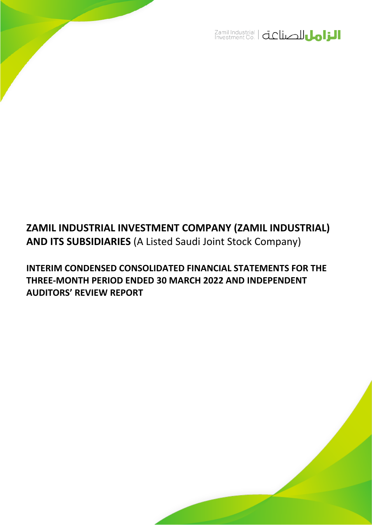

# **ZAMIL INDUSTRIAL INVESTMENT COMPANY (ZAMIL INDUSTRIAL) AND ITS SUBSIDIARIES** (A Listed Saudi Joint Stock Company)

**INTERIM CONDENSED CONSOLIDATED FINANCIAL STATEMENTS FOR THE THREE-MONTH PERIOD ENDED 30 MARCH 2022 AND INDEPENDENT AUDITORS' REVIEW REPORT**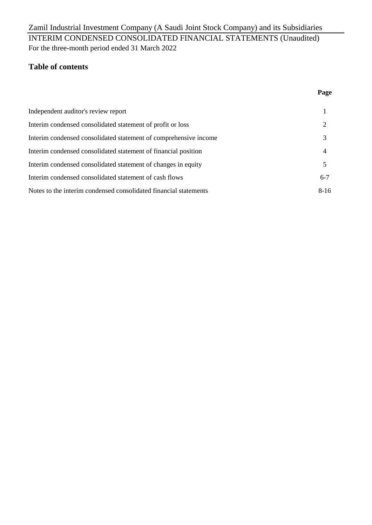## For the three-month period ended 31 March 2022 Zamil Industrial Investment Company (A Saudi Joint Stock Company) and its Subsidiaries INTERIM CONDENSED CONSOLIDATED FINANCIAL STATEMENTS (Unaudited)

## **Table of contents**

| Independent auditor's review report                              |         |
|------------------------------------------------------------------|---------|
| Interim condensed consolidated statement of profit or loss       |         |
| Interim condensed consolidated statement of comprehensive income |         |
| Interim condensed consolidated statement of financial position   |         |
| Interim condensed consolidated statement of changes in equity    |         |
| Interim condensed consolidated statement of cash flows           | $6 - 7$ |
| Notes to the interim condensed consolidated financial statements | $8-16$  |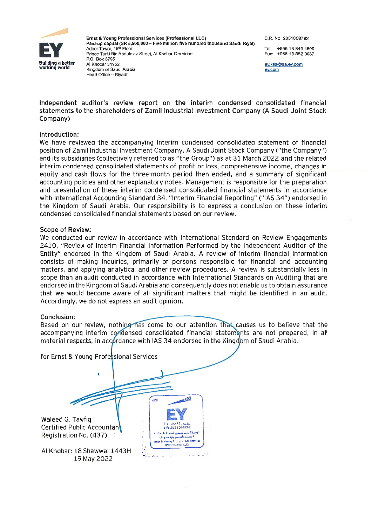

Ernst & Young Professional Services (Professional LLC) Paid-up capital (SR 5,500,000 - Five million five hundred thousand Saudi Riyal) Adeer Tower, 15th Floor Prince Turki Bin Abdulaziz Street, Al Khobar Corniche P.O. Box 3795 Al Khobar 31952 Kingdom of Saudi Arabia Head Office - Riyadh

C.R. No. 2051058792

+966 13 840 4600 Tel: Fax: +966 13 882 0087

ev.ksa@sa.ev.com ey.com

#### Independent auditor's review report on the interim condensed consolidated financial statements to the shareholders of Zamil Industrial Investment Company (A Saudi Joint Stock Company)

#### Introduction:

We have reviewed the accompanying interim condensed consolidated statement of financial position of Zamil Industrial Investment Company, A Saudi Joint Stock Company ("the Company") and its subsidiaries (collectively referred to as "the Group") as at 31 March 2022 and the related interim condensed consolidated statements of profit or loss, comprehensive income, changes in equity and cash flows for the three-month period then ended, and a summary of significant accounting policies and other explanatory notes. Management is responsible for the preparation and presentation of these interim condensed consolidated financial statements in accordance with International Accounting Standard 34, "Interim Financial Reporting" ("IAS 34") endorsed in the Kingdom of Saudi Arabia. Our responsibility is to express a conclusion on these interim condensed consolidated financial statements based on our review.

#### **Scope of Review:**

We conducted our review in accordance with International Standard on Review Engagements 2410, "Review of Interim Financial Information Performed by the Independent Auditor of the Entity" endorsed in the Kingdom of Saudi Arabia. A review of interim financial information consists of making inquiries, primarily of persons responsible for financial and accounting matters, and applying analytical and other review procedures. A review is substantially less in scope than an audit conducted in accordance with International Standards on Auditing that are endorsed in the Kingdom of Saudi Arabia and consequently does not enable us to obtain assurance that we would become aware of all significant matters that might be identified in an audit. Accordingly, we do not express an audit opinion.

#### Conclusion:

Based on our review, nothing has come to our attention that causes us to believe that the accompanying interim condensed consolidated financial statements are not prepared, in all material respects, in accordance with IAS 34 endorsed in the Kingdom of Saudi Arabia.

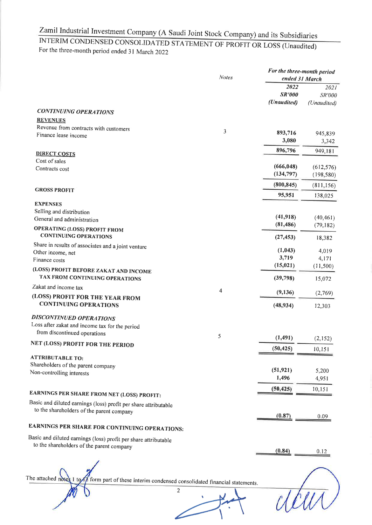## INTERIM CONDENSED CONSOLIDATED STATEMENT OF PROFIT OR LOSS (Unaudited) For the three-month period ended 31 March 2022

|                                                                         | <b>Notes</b> |                                      | For the three-month period<br>ended 31 March |  |
|-------------------------------------------------------------------------|--------------|--------------------------------------|----------------------------------------------|--|
|                                                                         |              | 2022<br><b>SR'000</b><br>(Unaudited) | 2021<br>SR'000<br>(Unaudited)                |  |
| <b>CONTINUING OPERATIONS</b>                                            |              |                                      |                                              |  |
| <b>REVENUES</b>                                                         |              |                                      |                                              |  |
| Revenue from contracts with customers                                   | 3            |                                      |                                              |  |
| Finance lease income                                                    |              | 893,716                              | 945,839                                      |  |
|                                                                         |              | 3,080                                | 3,342                                        |  |
| <b>DIRECT COSTS</b>                                                     |              | 896,796                              | 949,181                                      |  |
| Cost of sales                                                           |              | (666, 048)                           |                                              |  |
| Contracts cost                                                          |              | (134, 797)                           | (612, 576)<br>(198, 580)                     |  |
|                                                                         |              |                                      |                                              |  |
| <b>GROSS PROFIT</b>                                                     |              | (800, 845)                           | (811, 156)                                   |  |
|                                                                         |              | 95,951                               | 138,025                                      |  |
| <b>EXPENSES</b><br>Selling and distribution                             |              |                                      |                                              |  |
| General and administration                                              |              | (41, 918)                            | (40, 461)                                    |  |
| <b>OPERATING (LOSS) PROFIT FROM</b>                                     |              | (81, 486)                            | (79, 182)                                    |  |
| <b>CONTINUING OPERATIONS</b>                                            |              | (27, 453)                            | 18,382                                       |  |
| Share in results of associates and a joint venture                      |              | (1,043)                              | 4,019                                        |  |
| Other income, net<br>Finance costs                                      |              | 3,719                                | 4,171                                        |  |
|                                                                         |              | (15, 021)                            | (11,500)                                     |  |
| (LOSS) PROFIT BEFORE ZAKAT AND INCOME<br>TAX FROM CONTINUING OPERATIONS |              | (39,798)                             | 15,072                                       |  |
| Zakat and income tax                                                    | 4            | (9,136)                              | (2,769)                                      |  |
| (LOSS) PROFIT FOR THE YEAR FROM<br><b>CONTINUING OPERATIONS</b>         |              | (48, 934)                            | 12,303                                       |  |
| <b>DISCONTINUED OPERATIONS</b>                                          |              |                                      |                                              |  |
| Loss after zakat and income tax for the period                          |              |                                      |                                              |  |
| from discontinued operations                                            | 5            |                                      |                                              |  |
| <b>NET (LOSS) PROFIT FOR THE PERIOD</b>                                 |              | (1, 491)                             | (2,152)                                      |  |
|                                                                         |              | (50, 425)                            | 10, 151                                      |  |
| <b>ATTRIBUTABLE TO:</b>                                                 |              |                                      |                                              |  |
| Shareholders of the parent company                                      |              | (51, 921)                            | 5,200                                        |  |
| Non-controlling interests                                               |              | 1,496                                | 4,951                                        |  |
|                                                                         |              | (50, 425)                            | 10,151                                       |  |
| EARNINGS PER SHARE FROM NET (LOSS) PROFIT:                              |              |                                      |                                              |  |
| Basic and diluted earnings (loss) profit per share attributable         |              |                                      |                                              |  |
| to the shareholders of the parent company                               |              | (0.87)                               | 0.09                                         |  |
| EARNINGS PER SHARE FOR CONTINUING OPERATIONS:                           |              |                                      |                                              |  |
| Basic and diluted earnings (loss) profit per share attributable         |              |                                      |                                              |  |
| to the shareholders of the parent company                               |              |                                      |                                              |  |
|                                                                         |              | (0.84)                               | 0.12                                         |  |
|                                                                         |              |                                      |                                              |  |
|                                                                         |              |                                      |                                              |  |

The attached notes  $1$  to  $\pi$  form part of these interim condensed consolidated financial statements.

deux)

 $\sqrt{2}$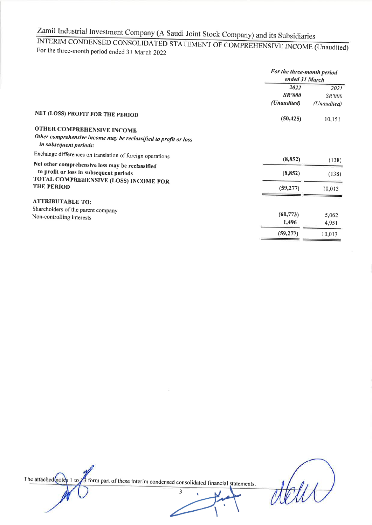INTERIM CONDENSED CONSOLIDATED STATEMENT OF COMPREHENSIVE INCOME (Unaudited) For the three-month period ended 31 March 2022

|                                                                                                                          | For the three-month period<br>ended 31 March |                                      |
|--------------------------------------------------------------------------------------------------------------------------|----------------------------------------------|--------------------------------------|
|                                                                                                                          | 2022<br><b>SR'000</b><br>(Unaudited)         | 2021<br><i>SR'000</i><br>(Unaudited) |
| NET (LOSS) PROFIT FOR THE PERIOD                                                                                         | (50, 425)                                    | 10,151                               |
| OTHER COMPREHENSIVE INCOME<br>Other comprehensive income may be reclassified to profit or loss<br>in subsequent periods: |                                              |                                      |
| Exchange differences on translation of foreign operations                                                                | (8, 852)                                     |                                      |
| Net other comprehensive loss may be reclassified<br>to profit or loss in subsequent periods                              | (8, 852)                                     | (138)<br>(138)                       |
| TOTAL COMPREHENSIVE (LOSS) INCOME FOR<br>THE PERIOD                                                                      | (59, 277)                                    | 10,013                               |
| <b>ATTRIBUTABLE TO:</b>                                                                                                  |                                              |                                      |
| Shareholders of the parent company<br>Non-controlling interests                                                          | (60, 773)<br>1,496                           | 5,062<br>4,951                       |
|                                                                                                                          | (59, 277)                                    | 10,013                               |

The attached moter 1 to  $\sqrt{3}$  form part of these interim condensed consolidated financial statements.

 $\overline{\mathbf{3}}$ 

dett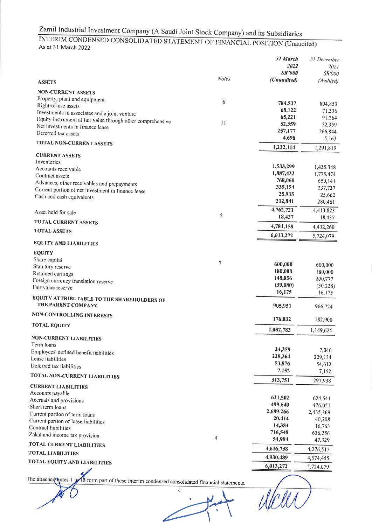## INTERIM CONDENSED CONSOLIDATED STATEMENT OF FINANCIAL POSITION (Unaudited) As at 31 March 2022

| <b>ASSETS</b>                                                                                                                                    | <b>Notes</b> | 31 March<br>2022<br><b>SR'000</b><br>(Unaudited) | 31 December<br>202 <sub>l</sub><br><b>SR'000</b><br>(Audited) |
|--------------------------------------------------------------------------------------------------------------------------------------------------|--------------|--------------------------------------------------|---------------------------------------------------------------|
| <b>NON-CURRENT ASSETS</b>                                                                                                                        |              |                                                  |                                                               |
| Property, plant and equipment<br>Right-of-use assets                                                                                             | 6            | 784,537<br>68,122                                | 804,853<br>71,336                                             |
| Investments in associates and a joint venture<br>Equity instrument at fair value through other comprehensive<br>Net investments in finance lease | 11           | 65,221<br>52,359<br>257,177                      | 91,264<br>52,359<br>266,844                                   |
| Deferred tax assets<br><b>TOTAL NON-CURRENT ASSETS</b>                                                                                           |              | 4,698                                            | 5,163                                                         |
|                                                                                                                                                  |              | 1,232,114                                        | 1,291,819                                                     |
| <b>CURRENT ASSETS</b><br>Inventories                                                                                                             |              | 1,533,299                                        | 1,435,348                                                     |
| Accounts receivable<br>Contract assets                                                                                                           |              | 1,887,432                                        | 1,775,474                                                     |
| Advances, other receivables and prepayments<br>Current portion of net investment in finance lease<br>Cash and cash equivalents                   |              | 768,060<br>335,154<br>25,935                     | 659,141<br>237,737<br>25,662                                  |
|                                                                                                                                                  |              | 212,841<br>4,762,721                             | 280,461<br>4,413,823                                          |
| Asset held for sale<br><b>TOTAL CURRENT ASSETS</b>                                                                                               | 5            | 18,437                                           | 18,437                                                        |
| <b>TOTAL ASSETS</b>                                                                                                                              |              | 4,781,158                                        | 4,432,260                                                     |
| <b>EQUITY AND LIABILITIES</b>                                                                                                                    |              | 6,013,272                                        | 5,724,079                                                     |
| <b>EQUITY</b>                                                                                                                                    |              |                                                  |                                                               |
| Share capital                                                                                                                                    | 7            | 600,000                                          |                                                               |
| Statutory reserve                                                                                                                                |              | 180,000                                          | 600,000<br>180,000                                            |
| Retained earnings<br>Foreign currency translation reserve                                                                                        |              | 148,856                                          | 200,777                                                       |
| Fair value reserve                                                                                                                               |              | (39,080)                                         | (30, 228)                                                     |
| EQUITY ATTRIBUTABLE TO THE SHAREHOLDERS OF                                                                                                       |              | 16,175                                           | 16,175                                                        |
| THE PARENT COMPANY                                                                                                                               |              | 905,951                                          | 966,724                                                       |
| <b>NON-CONTROLLING INTERESTS</b>                                                                                                                 |              | 176,832                                          | 182,900                                                       |
| <b>TOTAL EQUITY</b>                                                                                                                              |              | 1,082,783                                        | 1,149,624                                                     |
| <b>NON-CURRENT LIABILITIES</b><br>Term loans                                                                                                     |              |                                                  |                                                               |
| Employees' defined benefit liabilities                                                                                                           |              | 24,359                                           | 7,040                                                         |
| Lease liabilities                                                                                                                                |              | 228,364                                          | 229,134                                                       |
| Deferred tax liabilities                                                                                                                         |              | 53,876<br>7,152                                  | 54,612                                                        |
| <b>TOTAL NON-CURRENT LIABILITIES</b>                                                                                                             |              | 313,751                                          | 7,152<br>297,938                                              |
| <b>CURRENT LIABILITIES</b>                                                                                                                       |              |                                                  |                                                               |
| Accounts payable<br>Accruals and provisions                                                                                                      |              | 621,502                                          | 624,541                                                       |
| Short term loans                                                                                                                                 |              | 499,640                                          | 476,051                                                       |
| Current portion of term loans                                                                                                                    |              | 2,689,266                                        | 2,435,369                                                     |
| Current portion of lease liabilities                                                                                                             |              | 20,414                                           | 40,208                                                        |
| Contract liabilities                                                                                                                             |              | 14,384                                           | 16,763                                                        |
| Zakat and income tax provision                                                                                                                   | 4            | 716,548<br>54,984                                | 636,256                                                       |
| <b>TOTAL CURRENT LIABILITIES</b>                                                                                                                 |              | 4,616,738                                        | 47,329<br>4,276,517                                           |
| <b>TOTAL LIABILITIES</b>                                                                                                                         |              | 4,930,489                                        |                                                               |
| TOTAL EQUITY AND LIABILITIES                                                                                                                     |              | 6,013,272                                        | 4,574,455                                                     |
|                                                                                                                                                  |              |                                                  | 5,724,079                                                     |

The attached notes 1 to 18 form part of these interim condensed consolidated financial statements.

 $\overline{4}$ 

Utell,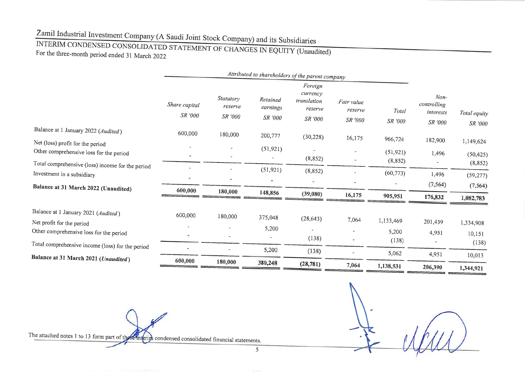# INTERIM CONDENSED CONSOLIDATED STATEMENT OF CHANGES IN EQUITY (Unaudited) For the three-month period ended 31 March 2022

|                                                                                          |                          |                                 |                                 | Attributed to shareholders of the parent company         |                                  |                       |                                               |                         |
|------------------------------------------------------------------------------------------|--------------------------|---------------------------------|---------------------------------|----------------------------------------------------------|----------------------------------|-----------------------|-----------------------------------------------|-------------------------|
|                                                                                          | Share capital<br>SR '000 | Statutory<br>reserve<br>SR '000 | Retained<br>earnings<br>SR '000 | Foreign<br>currency<br>translation<br>reserve<br>SR '000 | Fair value<br>reserve<br>SR '000 | Total<br>SR '000      | $Non-$<br>controlling<br>interests<br>SR '000 | Total equity<br>SR '000 |
| Balance at 1 January 2022 (Audited)                                                      | 600,000                  | 180,000                         | 200,777                         | (30, 228)                                                | 16,175                           | 966,724               |                                               |                         |
| Net (loss) profit for the period<br>Other comprehensive loss for the period              |                          |                                 | (51, 921)                       | (8, 852)                                                 |                                  | (51, 921)<br>(8, 852) | 182,900<br>1,496                              | 1,149,624<br>(50, 425)  |
| Total comprehensive (loss) income for the period<br>Investment in a subsidiary           |                          |                                 | (51, 921)                       | (8, 852)<br>×                                            |                                  | (60, 773)             | 1,496                                         | (8, 852)<br>(59, 277)   |
| Balance at 31 March 2022 (Unaudited)                                                     | 600,000                  | 180,000                         | 148,856                         | (39,080)                                                 | 16,175                           | 905,951               | (7, 564)<br>176,832                           | (7, 564)<br>1,082,783   |
| Balance at 1 January 2021 (Audited)<br>Net profit for the period                         | 600,000                  | 180,000                         | 375,048                         | (28, 643)                                                | 7,064                            | 1,133,469             | 201,439                                       | 1,334,908               |
| Other comprehensive loss for the period                                                  |                          |                                 | 5,200<br>÷                      | (138)                                                    |                                  | 5,200<br>(138)        | 4,951                                         | 10,151                  |
| Total comprehensive income (loss) for the period<br>Balance at 31 March 2021 (Unaudited) |                          |                                 | 5,200                           | (138)                                                    |                                  | 5,062                 | 4,951                                         | (138)<br>10,013         |
|                                                                                          | 600,000                  | 180,000                         | 380,248                         | (28, 781)                                                | 7,064                            | 1,138,531             | 206,390                                       | 1,344,921               |

The attached notes 1 to 13 form part of the semigriph condensed consolidated financial statements.

5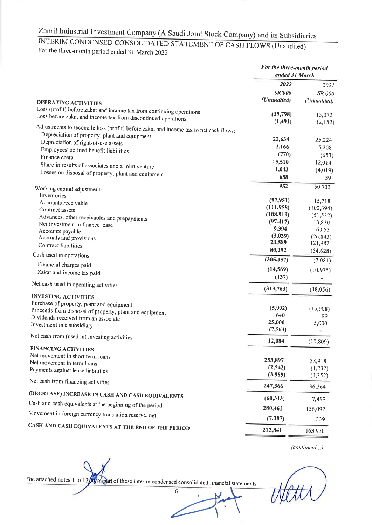## INTERIM CONDENSED CONSOLIDATED STATEMENT OF CASH FLOWS (Unaudited) For the three-month period ended 31 March 2022

|                                                                                       | For the three-month period<br>ended 31 March |                         |
|---------------------------------------------------------------------------------------|----------------------------------------------|-------------------------|
|                                                                                       | 2022                                         | 2021                    |
|                                                                                       | <b>SR'000</b>                                | SR'000                  |
| <b>OPERATING ACTIVITIES</b>                                                           | (Unaudited)                                  | (Unaudited)             |
| Loss (profit) before zakat and income tax from continuing operations                  |                                              |                         |
| Loss before zakat and income tax from discontinued operations                         | (39,798)<br>(1, 491)                         | 15,072<br>(2, 152)      |
| Adjustments to reconcile loss (profit) before zakat and income tax to net cash flows: |                                              |                         |
| Depreciation of property, plant and equipment                                         |                                              |                         |
| Depreciation of right-of-use assets                                                   | 22,634                                       | 25,224                  |
| Employees' defined benefit liabilities                                                | 3,166                                        | 5,208                   |
| Finance costs                                                                         | (770)                                        | (653)                   |
| Share in results of associates and a joint venture                                    | 15,510                                       | 12,014                  |
| Losses on disposal of property, plant and equipment                                   | 1,043<br>658                                 | (4,019)                 |
|                                                                                       |                                              | 39                      |
| Working capital adjustments:                                                          | 952                                          | 50,733                  |
| Inventories                                                                           |                                              |                         |
| Accounts receivable                                                                   | (97, 951)<br>(111,958)                       | 15,718                  |
| Contract assets                                                                       | (108, 919)                                   | (102, 394)<br>(51, 532) |
| Advances, other receivables and prepayments                                           | (97, 417)                                    | 13,830                  |
| Net investment in finance lease                                                       | 9,394                                        | 6,053                   |
| Accounts payable<br>Accruals and provisions                                           | (3,039)                                      | (26, 843)               |
| <b>Contract liabilities</b>                                                           | 23,589                                       | 121,982                 |
| Cash used in operations                                                               | 80,292                                       | (34, 628)               |
|                                                                                       | (305, 057)                                   | (7,081)                 |
| Financial charges paid                                                                | (14, 569)                                    | (10, 975)               |
| Zakat and income tax paid                                                             | (137)                                        |                         |
| Net cash used in operating activities                                                 | (319,763)                                    | (18,056)                |
| <b>INVESTING ACTIVITIES</b>                                                           |                                              |                         |
| Purchase of property, plant and equipment                                             |                                              |                         |
| Proceeds from disposal of property, plant and equipment                               | (5,992)                                      | (15,908)                |
| Dividends received from an associate                                                  | 640                                          | 99                      |
| Investment in a subsidiary                                                            | 25,000<br>(7, 564)                           | 5,000                   |
| Net cash from (used in) investing activities                                          |                                              |                         |
| <b>FINANCING ACTIVITIES</b>                                                           | 12,084                                       | (10, 809)               |
| Net movement in short term loans                                                      |                                              |                         |
| Net movement in term loans                                                            | 253,897                                      | 38,918                  |
| Payments against lease liabilities                                                    | (2, 542)                                     | (1,202)                 |
|                                                                                       | (3,989)                                      | (1, 352)                |
| Net cash from financing activities                                                    | 247,366                                      | 36,364                  |
| (DECREASE) INCREASE IN CASH AND CASH EQUIVALENTS                                      | (60, 313)                                    | 7,499                   |
| Cash and cash equivalents at the beginning of the period                              | 280,461                                      | 156,092                 |
| Movement in foreign currency translation reserve, net                                 | (7, 307)                                     |                         |
| CASH AND CASH EQUIVALENTS AT THE END OF THE PERIOD                                    |                                              | 339                     |
|                                                                                       | 212,841                                      | 163,930                 |

(continued...)

The attached notes 1 to  $13/2$  muphrt of these interim condensed consolidated financial statements.

 $\overline{6}$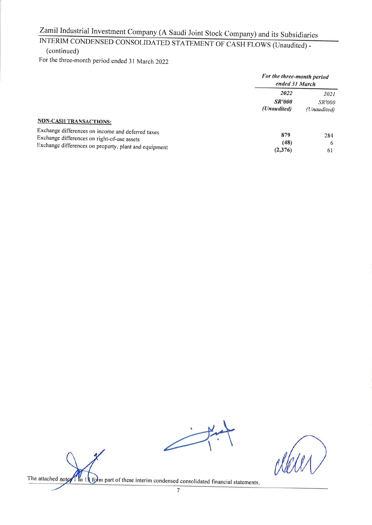# INTERIM CONDENSED CONSOLIDATED STATEMENT OF CASH FLOWS (Unaudited) -(continued)

For the three-month period ended 31 March 2022

|                                                                                                                                                                                            |                                      | For the three-month period<br>ended 31 March |  |
|--------------------------------------------------------------------------------------------------------------------------------------------------------------------------------------------|--------------------------------------|----------------------------------------------|--|
|                                                                                                                                                                                            | 2022<br><b>SR'000</b><br>(Unaudited) | 2021<br><i>SR'000</i><br>(Unaudited)         |  |
| <b>NON-CASH TRANSACTIONS:</b><br>Exchange differences on income and deferred taxes<br>Exchange differences on right-of-use assets<br>Exchange differences on property, plant and equipment | 879<br>(48)<br>(2,376)               | 284<br>6<br>61                               |  |

The attached noter<sup>1</sup> to 13 form part of these interim condensed consolidated financial statements.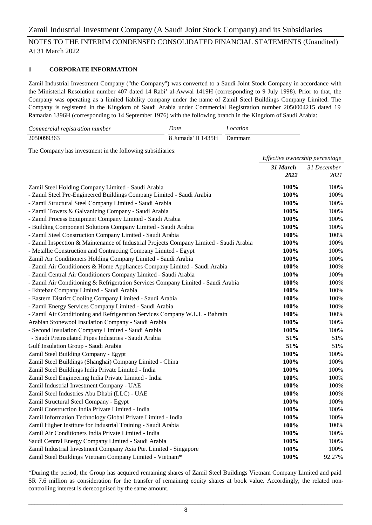#### **1 CORPORATE INFORMATION**

Zamil Industrial Investment Company ("the Company") was converted to a Saudi Joint Stock Company in accordance with the Ministerial Resolution number 407 dated 14 Rabi' al-Awwal 1419H (corresponding to 9 July 1998). Prior to that, the Company was operating as a limited liability company under the name of Zamil Steel Buildings Company Limited. The Company is registered in the Kingdom of Saudi Arabia under Commercial Registration number 2050004215 dated 19 Ramadan 1396H (corresponding to 14 September 1976) with the following branch in the Kingdom of Saudi Arabia:

| Commercial registration number | Date                      | Location |
|--------------------------------|---------------------------|----------|
| 2050099363                     | 8 Jumada' II 1435H Dammam |          |

The Company has investment in the following subsidiaries:

|                                                                                        | Effective ownership percentage |             |
|----------------------------------------------------------------------------------------|--------------------------------|-------------|
|                                                                                        | 31 March                       | 31 December |
|                                                                                        | 2022                           | 2021        |
| Zamil Steel Holding Company Limited - Saudi Arabia                                     | 100%                           | 100%        |
| - Zamil Steel Pre-Engineered Buildings Company Limited - Saudi Arabia                  | 100%                           | 100%        |
| - Zamil Structural Steel Company Limited - Saudi Arabia                                | 100%                           | 100%        |
| - Zamil Towers & Galvanizing Company - Saudi Arabia                                    | 100%                           | 100%        |
| - Zamil Process Equipment Company Limited - Saudi Arabia                               | 100%                           | 100%        |
| - Building Component Solutions Company Limited - Saudi Arabia                          | 100%                           | 100%        |
| - Zamil Steel Construction Company Limited - Saudi Arabia                              | 100%                           | 100%        |
| - Zamil Inspection & Maintenance of Industrial Projects Company Limited - Saudi Arabia | 100%                           | 100%        |
| - Metallic Construction and Contracting Company Limited - Egypt                        | 100%                           | 100%        |
| Zamil Air Conditioners Holding Company Limited - Saudi Arabia                          | 100%                           | 100%        |
| - Zamil Air Conditioners & Home Appliances Company Limited - Saudi Arabia              | 100%                           | 100%        |
| - Zamil Central Air Conditioners Company Limited - Saudi Arabia                        | 100%                           | 100%        |
| - Zamil Air Conditioning & Refrigeration Services Company Limited - Saudi Arabia       | 100%                           | 100%        |
| - Ikhtebar Company Limited - Saudi Arabia                                              | 100%                           | 100%        |
| - Eastern District Cooling Company Limited - Saudi Arabia                              | 100%                           | 100%        |
| - Zamil Energy Services Company Limited - Saudi Arabia                                 | 100%                           | 100%        |
| - Zamil Air Conditioning and Refrigeration Services Company W.L.L - Bahrain            | 100%                           | 100%        |
| Arabian Stonewool Insulation Company - Saudi Arabia                                    | 100%                           | 100%        |
| - Second Insulation Company Limited - Saudi Arabia                                     | 100%                           | 100%        |
| - Saudi Preinsulated Pipes Industries - Saudi Arabia                                   | 51%                            | 51%         |
| Gulf Insulation Group - Saudi Arabia                                                   | 51%                            | 51%         |
| Zamil Steel Building Company - Egypt                                                   | 100%                           | 100%        |
| Zamil Steel Buildings (Shanghai) Company Limited - China                               | 100%                           | 100%        |
| Zamil Steel Buildings India Private Limited - India                                    | 100%                           | 100%        |
| Zamil Steel Engineering India Private Limited - India                                  | 100%                           | 100%        |
| Zamil Industrial Investment Company - UAE                                              | 100%                           | 100%        |
| Zamil Steel Industries Abu Dhabi (LLC) - UAE                                           | 100%                           | 100%        |
| Zamil Structural Steel Company - Egypt                                                 | 100%                           | 100%        |
| Zamil Construction India Private Limited - India                                       | 100%                           | 100%        |
| Zamil Information Technology Global Private Limited - India                            | 100%                           | 100%        |
| Zamil Higher Institute for Industrial Training - Saudi Arabia                          | 100%                           | 100%        |
| Zamil Air Conditioners India Private Limited - India                                   | 100%                           | 100%        |
| Saudi Central Energy Company Limited - Saudi Arabia                                    | 100%                           | 100%        |
| Zamil Industrial Investment Company Asia Pte. Limited - Singapore                      | 100%                           | 100%        |
| Zamil Steel Buildings Vietnam Company Limited - Vietnam*                               | 100%                           | 92.27%      |

\*During the period, the Group has acquired remaining shares of Zamil Steel Buildings Vietnam Company Limited and paid SR 7.6 million as consideration for the transfer of remaining equity shares at book value. Accordingly, the related noncontrolling interest is derecognised by the same amount.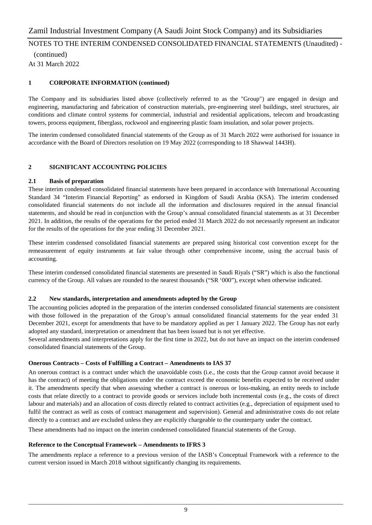(continued) At 31 March 2022

#### **1 CORPORATE INFORMATION (continued)**

The Company and its subsidiaries listed above (collectively referred to as the "Group") are engaged in design and engineering, manufacturing and fabrication of construction materials, pre-engineering steel buildings, steel structures, air conditions and climate control systems for commercial, industrial and residential applications, telecom and broadcasting towers, process equipment, fiberglass, rockwool and engineering plastic foam insulation, and solar power projects.

The interim condensed consolidated financial statements of the Group as of 31 March 2022 were authorised for issuance in accordance with the Board of Directors resolution on 19 May 2022 (corresponding to 18 Shawwal 1443H).

#### **2 SIGNIFICANT ACCOUNTING POLICIES**

#### **2.1 Basis of preparation**

These interim condensed consolidated financial statements have been prepared in accordance with International Accounting Standard 34 "Interim Financial Reporting" as endorsed in Kingdom of Saudi Arabia (KSA). The interim condensed consolidated financial statements do not include all the information and disclosures required in the annual financial statements, and should be read in conjunction with the Group's annual consolidated financial statements as at 31 December 2021. In addition, the results of the operations for the period ended 31 March 2022 do not necessarily represent an indicator for the results of the operations for the year ending 31 December 2021.

These interim condensed consolidated financial statements are prepared using historical cost convention except for the remeasurement of equity instruments at fair value through other comprehensive income, using the accrual basis of accounting.

These interim condensed consolidated financial statements are presented in Saudi Riyals ("SR") which is also the functional currency of the Group. All values are rounded to the nearest thousands ("SR '000"), except when otherwise indicated.

#### **2.2 New standards, interpretation and amendments adopted by the Group**

The accounting policies adopted in the preparation of the interim condensed consolidated financial statements are consistent with those followed in the preparation of the Group's annual consolidated financial statements for the year ended 31 December 2021, except for amendments that have to be mandatory applied as per 1 January 2022. The Group has not early adopted any standard, interpretation or amendment that has been issued but is not yet effective.

Several amendments and interpretations apply for the first time in 2022, but do not have an impact on the interim condensed consolidated financial statements of the Group.

#### **Onerous Contracts – Costs of Fulfilling a Contract – Amendments to IAS 37**

An onerous contract is a contract under which the unavoidable costs (i.e., the costs that the Group cannot avoid because it has the contract) of meeting the obligations under the contract exceed the economic benefits expected to be received under it. The amendments specify that when assessing whether a contract is onerous or loss-making, an entity needs to include costs that relate directly to a contract to provide goods or services include both incremental costs (e.g., the costs of direct labour and materials) and an allocation of costs directly related to contract activities (e.g., depreciation of equipment used to fulfil the contract as well as costs of contract management and supervision). General and administrative costs do not relate directly to a contract and are excluded unless they are explicitly chargeable to the counterparty under the contract.

These amendments had no impact on the interim condensed consolidated financial statements of the Group.

#### **Reference to the Conceptual Framework – Amendments to IFRS 3**

The amendments replace a reference to a previous version of the IASB's Conceptual Framework with a reference to the current version issued in March 2018 without significantly changing its requirements.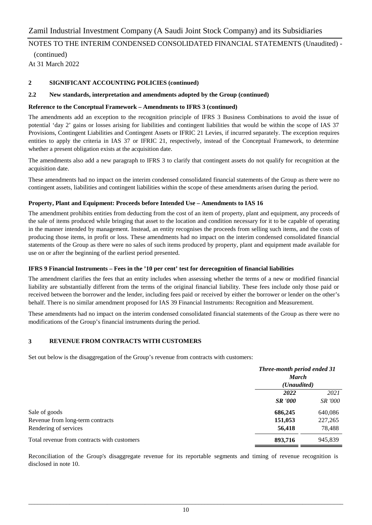(continued) At 31 March 2022

#### **2 SIGNIFICANT ACCOUNTING POLICIES (continued)**

#### **2.2 New standards, interpretation and amendments adopted by the Group (continued)**

#### **Reference to the Conceptual Framework – Amendments to IFRS 3 (continued)**

The amendments add an exception to the recognition principle of IFRS 3 Business Combinations to avoid the issue of potential 'day 2' gains or losses arising for liabilities and contingent liabilities that would be within the scope of IAS 37 Provisions, Contingent Liabilities and Contingent Assets or IFRIC 21 Levies, if incurred separately. The exception requires entities to apply the criteria in IAS 37 or IFRIC 21, respectively, instead of the Conceptual Framework, to determine whether a present obligation exists at the acquisition date.

The amendments also add a new paragraph to IFRS 3 to clarify that contingent assets do not qualify for recognition at the acquisition date.

These amendments had no impact on the interim condensed consolidated financial statements of the Group as there were no contingent assets, liabilities and contingent liabilities within the scope of these amendments arisen during the period.

#### **Property, Plant and Equipment: Proceeds before Intended Use – Amendments to IAS 16**

The amendment prohibits entities from deducting from the cost of an item of property, plant and equipment, any proceeds of the sale of items produced while bringing that asset to the location and condition necessary for it to be capable of operating in the manner intended by management. Instead, an entity recognises the proceeds from selling such items, and the costs of producing those items, in profit or loss. These amendments had no impact on the interim condensed consolidated financial statements of the Group as there were no sales of such items produced by property, plant and equipment made available for use on or after the beginning of the earliest period presented.

#### **IFRS 9 Financial Instruments – Fees in the '10 per cent' test for derecognition of financial liabilities**

The amendment clarifies the fees that an entity includes when assessing whether the terms of a new or modified financial liability are substantially different from the terms of the original financial liability. These fees include only those paid or received between the borrower and the lender, including fees paid or received by either the borrower or lender on the other's behalf. There is no similar amendment proposed for IAS 39 Financial Instruments: Recognition and Measurement.

These amendments had no impact on the interim condensed consolidated financial statements of the Group as there were no modifications of the Group's financial instruments during the period.

#### **3 REVENUE FROM CONTRACTS WITH CUSTOMERS**

Set out below is the disaggregation of the Group's revenue from contracts with customers:

|                                             | Three-month period ended 31<br><b>March</b><br>(Unaudited) |                |
|---------------------------------------------|------------------------------------------------------------|----------------|
|                                             |                                                            |                |
|                                             |                                                            |                |
|                                             | 2022                                                       | 2021           |
|                                             | <b>SR</b> '000                                             | <i>SR '000</i> |
| Sale of goods                               | 686,245                                                    | 640,086        |
| Revenue from long-term contracts            | 151,053                                                    | 227,265        |
| Rendering of services                       | 56,418                                                     | 78,488         |
| Total revenue from contracts with customers | 893,716                                                    | 945,839        |

Reconciliation of the Group's disaggregate revenue for its reportable segments and timing of revenue recognition is disclosed in note 10.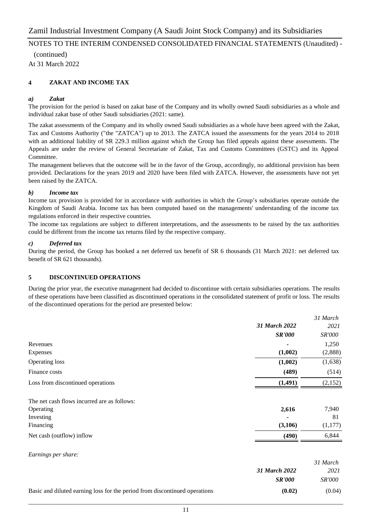(continued) At 31 March 2022

#### **4 ZAKAT AND INCOME TAX**

#### *a) Zakat*

The provision for the period is based on zakat base of the Company and its wholly owned Saudi subsidiaries as a whole and individual zakat base of other Saudi subsidiaries (2021: same).

The zakat assessments of the Company and its wholly owned Saudi subsidiaries as a whole have been agreed with the Zakat, Tax and Customs Authority ("the "ZATCA") up to 2013. The ZATCA issued the assessments for the years 2014 to 2018 with an additional liability of SR 229.3 million against which the Group has filed appeals against these assessments. The Appeals are under the review of General Secretariate of Zakat, Tax and Customs Committees (GSTC) and its Appeal Committee.

The management believes that the outcome will be in the favor of the Group, accordingly, no additional provision has been provided. Declarations for the years 2019 and 2020 have been filed with ZATCA. However, the assessments have not yet been raised by the ZATCA.

#### *b) Income tax*

Income tax provision is provided for in accordance with authorities in which the Group's subsidiaries operate outside the Kingdom of Saudi Arabia. Income tax has been computed based on the managements' understanding of the income tax regulations enforced in their respective countries.

The income tax regulations are subject to different interpretations, and the assessments to be raised by the tax authorities could be different from the income tax returns filed by the respective company.

#### *c) Deferred tax*

During the period, the Group has booked a net deferred tax benefit of SR 6 thousands (31 March 2021: net deferred tax benefit of SR 621 thousands).

#### **5 DISCONTINUED OPERATIONS**

During the prior year, the executive management had decided to discontinue with certain subsidiaries operations. The results of these operations have been classified as discontinued operations in the consolidated statement of profit or loss. The results of the discontinued operations for the period are presented below:

|                                             |               | 31 March |
|---------------------------------------------|---------------|----------|
|                                             | 31 March 2022 | 2021     |
|                                             | <b>SR'000</b> | SR'000   |
| Revenues                                    |               | 1,250    |
| Expenses                                    | (1,002)       | (2,888)  |
| Operating loss                              | (1,002)       | (1,638)  |
| Finance costs                               | (489)         | (514)    |
| Loss from discontinued operations           | (1, 491)      | (2,152)  |
| The net cash flows incurred are as follows: |               |          |
| Operating                                   | 2,616         | 7,940    |
| Investing                                   |               | 81       |
| Financing                                   | (3,106)       | (1,177)  |
| Net cash (outflow) inflow                   | (490)         | 6,844    |
| Earnings per share:                         |               |          |
|                                             |               | 31 March |

|                                                                            | 31 March 2022 | 2021          |
|----------------------------------------------------------------------------|---------------|---------------|
|                                                                            | <b>SR'000</b> | <i>SR'000</i> |
| Basic and diluted earning loss for the period from discontinued operations | (0.02)        | (0.04)        |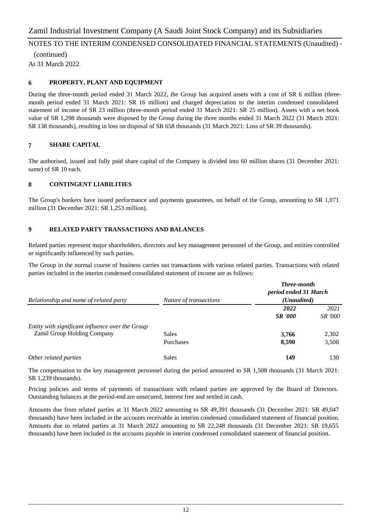(continued) At 31 March 2022

#### **6 PROPERTY, PLANT AND EQUIPMENT**

During the three-month period ended 31 March 2022, the Group has acquired assets with a cost of SR 6 million (threemonth period ended 31 March 2021: SR 16 million) and charged depreciation to the interim condensed consolidated statement of income of SR 23 million (three-month period ended 31 March 2021: SR 25 million). Assets with a net book value of SR 1,298 thousands were disposed by the Group during the three months ended 31 March 2022 (31 March 2021: SR 138 thousands), resulting in loss on disposal of SR 658 thousands (31 March 2021: Loss of SR 39 thousands).

#### **7 SHARE CAPITAL**

The authorised, issued and fully paid share capital of the Company is divided into 60 million shares (31 December 2021: same) of SR 10 each.

#### **8 CONTINGENT LIABILITIES**

The Group's bankers have issued performance and payments guarantees, on behalf of the Group, amounting to SR 1,071 million (31 December 2021: SR 1,253 million).

#### **9 RELATED PARTY TRANSACTIONS AND BALANCES**

Related parties represent major shareholders, directors and key management personnel of the Group, and entities controlled or significantly influenced by such parties.

The Group in the normal course of business carries out transactions with various related parties. Transactions with related parties included in the interim condensed consolidated statement of income are as follows:

| Relationship and name of related party                                          | Nature of transactions | <b>Three-month</b><br>period ended 31 March<br>(Unaudited) |                  |  |
|---------------------------------------------------------------------------------|------------------------|------------------------------------------------------------|------------------|--|
|                                                                                 |                        | 2022                                                       | 2021             |  |
| Entity with significant influence over the Group<br>Zamil Group Holding Company | Sales                  | <b>SR</b> '000<br>3,766                                    | SR '000<br>2,302 |  |
|                                                                                 | <b>Purchases</b>       | 8,590                                                      | 3,508            |  |
| Other related parties                                                           | <b>Sales</b>           | 149                                                        | 130              |  |

The compensation to the key management personnel during the period amounted to SR 1,508 thousands (31 March 2021: SR 1,239 thousands).

Pricing policies and terms of payments of transactions with related parties are approved by the Board of Directors. Outstanding balances at the period-end are unsecured, interest free and settled in cash.

Amounts due from related parties at 31 March 2022 amounting to SR 49,391 thousands (31 December 2021: SR 49,047 thousands) have been included in the accounts receivable in interim condensed consolidated statement of financial position. Amounts due to related parties at 31 March 2022 amounting to SR 22,248 thousands (31 December 2021: SR 19,655 thousands) have been included in the accounts payable in interim condensed consolidated statement of financial position.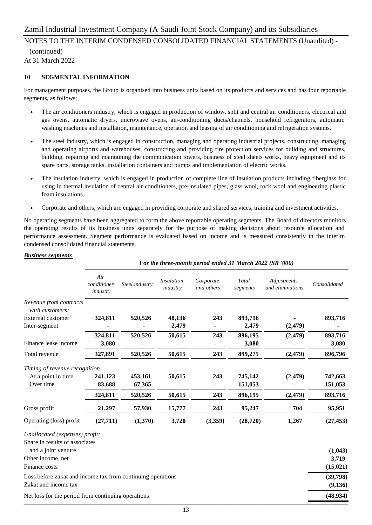## NOTES TO THE INTERIM CONDENSED CONSOLIDATED FINANCIAL STATEMENTS (Unaudited) -

 (continued) At 31 March 2022

#### **10 SEGMENTAL INFORMATION**

For management purposes, the Group is organised into business units based on its products and services and has four reportable segments, as follows:

- The air conditioners industry, which is engaged in production of window, split and central air conditioners, electrical and gas ovens, automatic dryers, microwave ovens, air-conditioning ducts/channels, household refrigerators, automatic washing machines and installation, maintenance, operation and leasing of air conditioning and refrigeration systems.
- The steel industry, which is engaged in construction, managing and operating industrial projects, constructing, managing and operating airports and warehouses, constructing and providing fire protection services for building and structures, building, repairing and maintaining the communication towers, business of steel sheets works, heavy equipment and its spare parts, storage tanks, installation containers and pumps and implementation of electric works.
- The insulation industry, which is engaged in production of complete line of insulation products including fiberglass for using in thermal insulation of central air conditioners, pre-insulated pipes, glass wool, rock wool and engineering plastic foam insulations.
- Corporate and others, which are engaged in providing corporate and shared services, training and investment activities.

No operating segments have been aggregated to form the above reportable operating segments. The Board of directors monitors the operating results of its business units separately for the purpose of making decisions about resource allocation and performance assessment. Segment performance is evaluated based on income and is measured consistently in the interim condensed consolidated financial statements.

#### *Business segments*

|                                                                  | For the three-month period ended 31 March 2022 (SR '000) |                |                               |                         |                   |                                 |              |  |
|------------------------------------------------------------------|----------------------------------------------------------|----------------|-------------------------------|-------------------------|-------------------|---------------------------------|--------------|--|
|                                                                  | Air<br>conditioner<br>industry                           | Steel industry | <i>Insulation</i><br>industry | Corporate<br>and others | Total<br>segments | Adjustments<br>and eliminations | Consolidated |  |
| Revenue from contracts<br>with customers:                        |                                                          |                |                               |                         |                   |                                 |              |  |
| External customer                                                | 324,811                                                  | 520,526        | 48,136                        | 243                     | 893,716           |                                 | 893,716      |  |
| Inter-segment                                                    |                                                          |                | 2,479                         |                         | 2,479             | (2, 479)                        |              |  |
|                                                                  | 324,811                                                  | 520,526        | 50,615                        | 243                     | 896,195           | (2, 479)                        | 893,716      |  |
| Finance lease income                                             | 3,080                                                    |                |                               |                         | 3,080             |                                 | 3,080        |  |
| Total revenue                                                    | 327,891                                                  | 520,526        | 50,615                        | 243                     | 899,275           | (2, 479)                        | 896,796      |  |
| Timing of revenue recognition:                                   |                                                          |                |                               |                         |                   |                                 |              |  |
| At a point in time                                               | 241,123                                                  | 453,161        | 50,615                        | 243                     | 745,142           | (2, 479)                        | 742,663      |  |
| Over time                                                        | 83,688                                                   | 67,365         |                               |                         | 151,053           |                                 | 151,053      |  |
|                                                                  | 324,811                                                  | 520,526        | 50,615                        | 243                     | 896,195           | (2, 479)                        | 893,716      |  |
| Gross profit                                                     | 21,297                                                   | 57,930         | 15,777                        | 243                     | 95,247            | 704                             | 95,951       |  |
| Operating (loss) profit                                          | (27,711)                                                 | (1,370)        | 3,720                         | (3,359)                 | (28, 720)         | 1,267                           | (27, 453)    |  |
| Unallocated (expenses) profit:<br>Share in results of associates |                                                          |                |                               |                         |                   |                                 |              |  |
| and a joint venture                                              |                                                          |                |                               |                         |                   |                                 | (1,043)      |  |
| Other income, net                                                |                                                          |                |                               |                         |                   |                                 | 3,719        |  |
| Finance costs                                                    |                                                          |                |                               |                         |                   |                                 | (15, 021)    |  |
| Loss before zakat and income tax from continuing operations      |                                                          |                |                               |                         |                   |                                 | (39,798)     |  |
| Zakat and income tax                                             |                                                          |                |                               |                         |                   |                                 | (9,136)      |  |
| Net loss for the period from continuing operations               |                                                          |                |                               |                         |                   |                                 | (48, 934)    |  |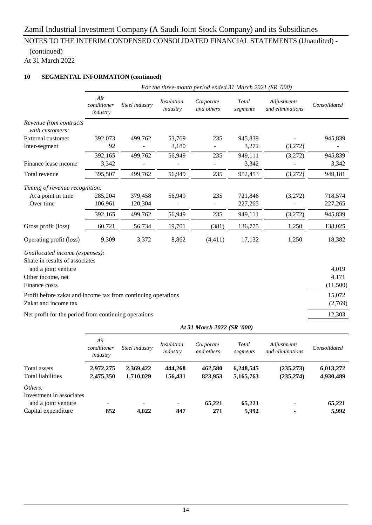# NOTES TO THE INTERIM CONDENSED CONSOLIDATED FINANCIAL STATEMENTS (Unaudited) -

#### (continued) At 31 March 2022

#### **10 SEGMENTAL INFORMATION (continued)**

|                                                               | For the three-month period ended 31 March 2021 (SR '000) |                |                               |                         |                   |                                 |              |  |  |  |
|---------------------------------------------------------------|----------------------------------------------------------|----------------|-------------------------------|-------------------------|-------------------|---------------------------------|--------------|--|--|--|
|                                                               | Air<br>conditioner<br>industry                           | Steel industry | <b>Insulation</b><br>industry | Corporate<br>and others | Total<br>segments | Adjustments<br>and eliminations | Consolidated |  |  |  |
| Revenue from contracts<br>with customers:                     |                                                          |                |                               |                         |                   |                                 |              |  |  |  |
| External customer                                             | 392,073                                                  | 499,762        | 53,769                        | 235                     | 945,839           |                                 | 945,839      |  |  |  |
| Inter-segment                                                 | 92                                                       |                | 3,180                         |                         | 3,272             | (3,272)                         |              |  |  |  |
|                                                               | 392,165                                                  | 499,762        | 56,949                        | 235                     | 949,111           | (3,272)                         | 945,839      |  |  |  |
| Finance lease income                                          | 3,342                                                    |                |                               |                         | 3,342             |                                 | 3,342        |  |  |  |
| Total revenue                                                 | 395,507                                                  | 499,762        | 56,949                        | 235                     | 952,453           | (3,272)                         | 949,181      |  |  |  |
| Timing of revenue recognition:                                |                                                          |                |                               |                         |                   |                                 |              |  |  |  |
| At a point in time                                            | 285,204                                                  | 379,458        | 56,949                        | 235                     | 721,846           | (3,272)                         | 718,574      |  |  |  |
| Over time                                                     | 106,961                                                  | 120,304        |                               | $\blacksquare$          | 227,265           |                                 | 227,265      |  |  |  |
|                                                               | 392,165                                                  | 499,762        | 56,949                        | 235                     | 949,111           | (3,272)                         | 945,839      |  |  |  |
| Gross profit (loss)                                           | 60,721                                                   | 56,734         | 19,701                        | (381)                   | 136,775           | 1,250                           | 138,025      |  |  |  |
| Operating profit (loss)                                       | 9,309                                                    | 3,372          | 8,862                         | (4, 411)                | 17,132            | 1,250                           | 18,382       |  |  |  |
| Unallocated income (expenses):                                |                                                          |                |                               |                         |                   |                                 |              |  |  |  |
| Share in results of associates<br>and a joint venture         |                                                          |                |                               |                         |                   |                                 | 4,019        |  |  |  |
| Other income, net                                             |                                                          |                |                               |                         |                   |                                 | 4,171        |  |  |  |
| Finance costs                                                 |                                                          |                |                               |                         |                   |                                 | (11,500)     |  |  |  |
| Profit before zakat and income tax from continuing operations |                                                          |                |                               |                         |                   |                                 | 15,072       |  |  |  |
| Zakat and income tax                                          |                                                          |                |                               |                         |                   |                                 | (2,769)      |  |  |  |
| Net profit for the period from continuing operations          |                                                          |                |                               |                         |                   |                                 | 12,303       |  |  |  |

|                                                 | At 31 March 2022 (SR '000)     |                        |                        |                         |                        |                                 |                        |  |
|-------------------------------------------------|--------------------------------|------------------------|------------------------|-------------------------|------------------------|---------------------------------|------------------------|--|
|                                                 | Air<br>conditioner<br>industry | Steel industry         | Insulation<br>industry | Corporate<br>and others | Total<br>segments      | Adjustments<br>and eliminations | Consolidated           |  |
| Total assets<br>Total liabilities               | 2,972,275<br>2,475,350         | 2,369,422<br>1,710,029 | 444,268<br>156,431     | 462,580<br>823,953      | 6,248,545<br>5,165,763 | (235, 273)<br>(235, 274)        | 6,013,272<br>4,930,489 |  |
| Others:                                         |                                |                        |                        |                         |                        |                                 |                        |  |
| Investment in associates<br>and a joint venture |                                |                        | ٠                      | 65,221                  | 65,221                 | ۰                               | 65,221                 |  |
| Capital expenditure                             | 852                            | 4.022                  | 847                    | 271                     | 5,992                  |                                 | 5,992                  |  |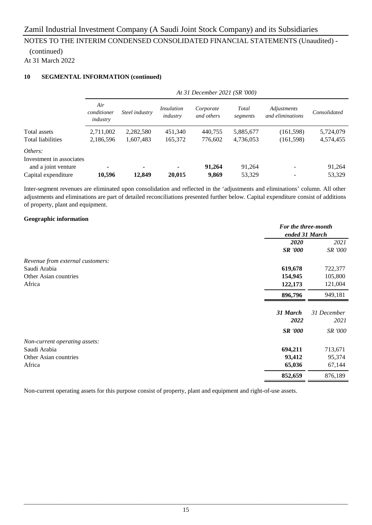#### (continued) At 31 March 2022

#### **10 SEGMENTAL INFORMATION (continued)**

|                          | At 31 December 2021 (SR '000)  |                |                        |                         |                   |                                 |              |
|--------------------------|--------------------------------|----------------|------------------------|-------------------------|-------------------|---------------------------------|--------------|
|                          | Air<br>conditioner<br>industry | Steel industry | Insulation<br>industry | Corporate<br>and others | Total<br>segments | Adjustments<br>and eliminations | Consolidated |
| Total assets             | 2,711,002                      | 2,282,580      | 451,340                | 440,755                 | 5,885,677         | (161, 598)                      | 5,724,079    |
| <b>Total liabilities</b> | 2,186,596                      | 1,607,483      | 165,372                | 776,602                 | 4,736,053         | (161, 598)                      | 4,574,455    |
| Others:                  |                                |                |                        |                         |                   |                                 |              |
| Investment in associates |                                |                |                        |                         |                   |                                 |              |
| and a joint venture      | ۰                              |                | ۰                      | 91,264                  | 91,264            |                                 | 91,264       |
| Capital expenditure      | 10,596                         | 12,849         | 20,015                 | 9,869                   | 53,329            |                                 | 53,329       |

Inter-segment revenues are eliminated upon consolidation and reflected in the 'adjustments and eliminations' column. All other adjustments and eliminations are part of detailed reconciliations presented further below. Capital expenditure consist of additions of property, plant and equipment.

#### **Geographic information**

|                                  | For the three-month |             |
|----------------------------------|---------------------|-------------|
|                                  | ended 31 March      |             |
|                                  | <b>2020</b>         | 2021        |
|                                  | <b>SR '000</b>      | SR '000     |
| Revenue from external customers: |                     |             |
| Saudi Arabia                     | 619,678             | 722,377     |
| Other Asian countries            | 154,945             | 105,800     |
| Africa                           | 122,173             | 121,004     |
|                                  | 896,796             | 949,181     |
|                                  | 31 March            | 31 December |
|                                  | 2022                | 2021        |
|                                  | <b>SR '000</b>      | SR '000     |
| Non-current operating assets:    |                     |             |
| Saudi Arabia                     | 694,211             | 713,671     |
| Other Asian countries            | 93,412              | 95,374      |
| Africa                           | 65,036              | 67,144      |
|                                  | 852,659             | 876,189     |

Non-current operating assets for this purpose consist of property, plant and equipment and right-of-use assets.